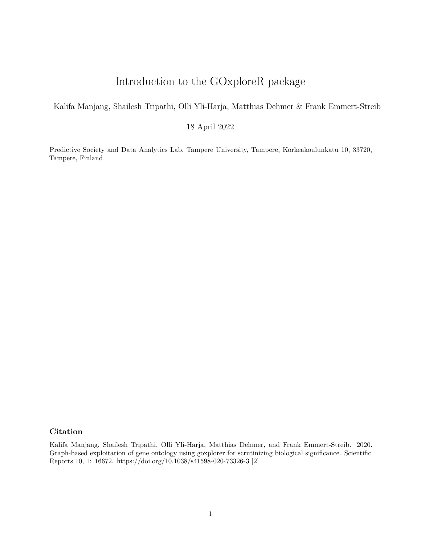# Introduction to the GOxploreR package

Kalifa Manjang, Shailesh Tripathi, Olli Yli-Harja, Matthias Dehmer & Frank Emmert-Streib

18 April 2022

Predictive Society and Data Analytics Lab, Tampere University, Tampere, Korkeakoulunkatu 10, 33720, Tampere, Finland

# <span id="page-0-0"></span>**Citation**

Kalifa Manjang, Shailesh Tripathi, Olli Yli-Harja, Matthias Dehmer, and Frank Emmert-Streib. 2020. Graph-based exploitation of gene ontology using goxplorer for scrutinizing biological significance. Scientific Reports 10, 1: 16672.<https://doi.org/10.1038/s41598-020-73326-3> [\[2\]](#page-18-0)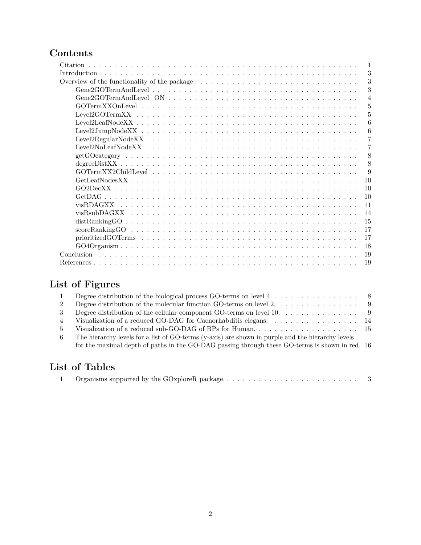# **Contents**

| Citation         |
|------------------|
| 3                |
| 3                |
| 3                |
| $\overline{4}$   |
| 5                |
| 5                |
| 6                |
| 6                |
| 7                |
| 7                |
| 8                |
| 8                |
| 9                |
| 10               |
| 10               |
| 10               |
| 11               |
| 14               |
| 15               |
| 17               |
| 17               |
| 18               |
| Conclusion<br>19 |
| 19               |

# **List of Figures**

|                | Degree distribution of the biological process GO-terms on level $4, \ldots, \ldots, \ldots, \ldots$ |  |
|----------------|-----------------------------------------------------------------------------------------------------|--|
| 2              | Degree distribution of the molecular function GO-terms on level $2, \ldots, \ldots, \ldots, \ldots$ |  |
| 3              | Degree distribution of the cellular component GO-terms on level $10. \ldots \ldots \ldots \ldots$   |  |
| $\overline{4}$ | Visualization of a reduced GO-DAG for Caenorhabilitis elegans. 14                                   |  |
| $5 -$          |                                                                                                     |  |
| -6             | The hierarchy levels for a list of GO-terms (y-axis) are shown in purple and the hierarchy levels   |  |
|                | for the maximal depth of paths in the GO-DAG passing through these GO-terms is shown in red. 16     |  |
|                |                                                                                                     |  |

# **List of Tables**

|--|--|--|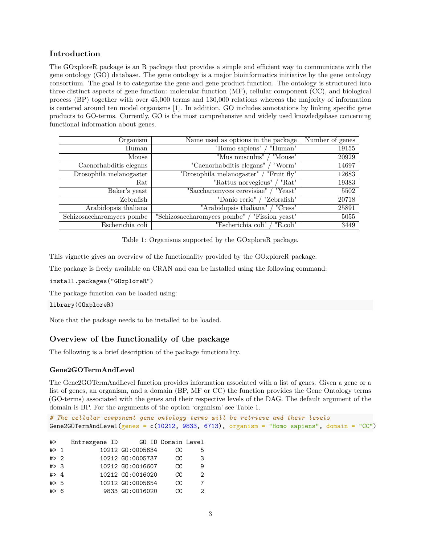# <span id="page-2-0"></span>**Introduction**

The GOxploreR package is an R package that provides a simple and efficient way to communicate with the gene ontology (GO) database. The gene ontology is a major bioinformatics initiative by the gene ontology consortium. The goal is to categorize the gene and gene product function. The ontology is structured into three distinct aspects of gene function: molecular function (MF), cellular component (CC), and biological process (BP) together with over 45,000 terms and 130,000 relations whereas the majority of information is centered around ten model organisms [\[1\]](#page-18-3). In addition, GO includes annotations by linking specific gene products to GO-terms. Currently, GO is the most comprehensive and widely used knowledgebase concerning functional information about genes.

| Organism                  | Name used as options in the package            | Number of genes |
|---------------------------|------------------------------------------------|-----------------|
| Human                     | "Homo sapiens"<br>"Human"                      | 19155           |
| Mouse                     | "Mus musculus"<br>"Mouse"                      | 20929           |
| Caenorhabditis elegans    | "Caenorhabditis elegans"<br>"Worm"             | 14697           |
| Drosophila melanogaster   | "Drosophila melanogaster"<br>"Fruit fly"       | 12683           |
| Rat                       | "Rattus norvegicus"<br>"Rat"                   | 19383           |
| Baker's yeast             | "Saccharomyces cerevisiae"<br>"Yeast"          | 5502            |
| Zebrafish                 | "Danio rerio"<br>"Zebrafish"                   | 20718           |
| Arabidopsis thaliana      | "Arabidopsis thaliana"<br>"Cress"              | 25891           |
| Schizosaccharomyces pombe | "Fission yeast"<br>"Schizosaccharomyces pombe" | 5055            |
| Escherichia coli          | "Escherichia coli"<br>"E.coli"                 | 3449            |

<span id="page-2-3"></span>Table 1: Organisms supported by the GOxploreR package.

This vignette gives an overview of the functionality provided by the GOxploreR package.

The package is freely available on CRAN and can be installed using the following command:

install.packages("GOxploreR")

The package function can be loaded using:

library(GOxploreR)

Note that the package needs to be installed to be loaded.

# <span id="page-2-1"></span>**Overview of the functionality of the package**

The following is a brief description of the package functionality.

## <span id="page-2-2"></span>**Gene2GOTermAndLevel**

The Gene2GOTermAndLevel function provides information associated with a list of genes. Given a gene or a list of genes, an organism, and a domain (BP, MF or CC) the function provides the Gene Ontology terms (GO-terms) associated with the genes and their respective levels of the DAG. The default argument of the domain is BP. For the arguments of the option 'organism' see Table [1.](#page-2-3)

```
# The cellular component gene ontology terms will be retrieve and their levels
Gene2GOTermAndLevel(genes = c(10212, 9833, 6713), organism = "Homo sapiens", domain = "CC")
```

| #>      | Entrezgene ID |                  | GO ID Domain Level |   |
|---------|---------------|------------------|--------------------|---|
| $#$ 1   |               | 10212 GO:0005634 | CC.                | 5 |
| $#$ 2   |               | 10212 GO:0005737 | CC                 | 3 |
| # > 3   |               | 10212 GO:0016607 | CC                 | 9 |
| $#$ > 4 |               | 10212 GO:0016020 | CC                 | 2 |
| # > 5   |               | 10212 GO:0005654 | CC                 | 7 |
| #> 6    |               | 9833 GO:0016020  | CC.                |   |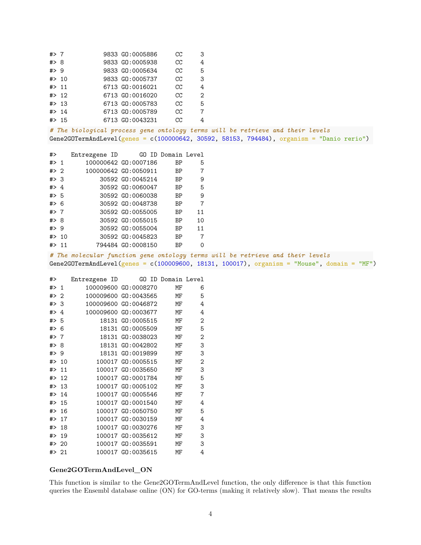| $#$ > 7 |        | 9833 GO:0005886 | cc | 3              |
|---------|--------|-----------------|----|----------------|
| # > 8   |        | 9833 GO:0005938 | CC | 4              |
| $#$ 9   |        | 9833 GO:0005634 | CC | 5              |
| # > 10  |        | 9833 GO:0005737 | cc | 3              |
| # > 11  |        | 6713 GO:0016021 | cc | 4              |
|         | # > 12 | 6713 GO:0016020 | CC | $\overline{2}$ |
|         | # > 13 | 6713 GO:0005783 | CC | 5              |
|         | # > 14 | 6713 GO:0005789 | CC | $\overline{7}$ |
|         | # > 15 | 6713 GO:0043231 | cc | 4              |
|         |        |                 |    |                |

*# The biological process gene ontology terms will be retrieve and their levels* Gene2GOTermAndLevel(genes = c(100000642, 30592, 58153, 794484), organism = "Danio rerio")

| #>      |        | Entrezgene ID GO ID Domain Level |                      |           |          |
|---------|--------|----------------------------------|----------------------|-----------|----------|
| $#$ 1   |        |                                  | 100000642 GO:0007186 | ΒP        | 5        |
| # $> 2$ |        |                                  | 100000642 GO:0050911 | BP        | 7        |
| # > 3   |        |                                  | 30592 GO:0045214     | BP        | 9        |
| #> 4    |        |                                  | 30592 GO:0060047     | <b>BP</b> | 5        |
| # $> 5$ |        |                                  | 30592 GO:0060038     | BP        | 9        |
| $#$ 6   |        |                                  | 30592 GO:0048738     | BP        | 7        |
| # $> 7$ |        |                                  | 30592 GO:0055005     | <b>BP</b> | 11       |
| #> 8    |        |                                  | 30592 GO:0055015     | BP        | 10       |
| #> 9    |        |                                  | 30592 GO:0055004     | BP        | 11       |
|         | # > 10 |                                  | 30592 GO:0045823     | BP        | 7        |
| $#$ 11  |        |                                  | 794484 GO:0008150    | ВP        | $\Omega$ |
|         |        |                                  |                      |           |          |

*# The molecular function gene ontology terms will be retrieve and their levels* Gene2GOTermAndLevel(genes = c(100009600, 18131, 100017), organism = "Mouse", domain = "MF")

| #>    |    | Entrezgene ID |                      | GO ID Domain Level |                |
|-------|----|---------------|----------------------|--------------------|----------------|
| #>    | 1  |               | 100009600 GD:0008270 | МF                 | 6              |
| #>    | 2  |               | 100009600 GD:0043565 | МF                 | 5              |
| #>    | 3  |               | 100009600 GD:0046872 | МF                 | 4              |
| #>    | 4  |               | 100009600 GD:0003677 | MF                 | 4              |
| #>    | 5  | 18131         | G0:0005515           | МF                 | 2              |
| # $>$ | 6  |               | 18131 GO:0005509     | МF                 | 5              |
| #>    | 7  |               | 18131 GO:0038023     | МF                 | $\mathbf{2}$   |
| #>    | 8  | 18131         | GO:0042802           | MF                 | 3              |
| #>    | 9  | 18131         | GO:0019899           | MF                 | 3              |
| #>    | 10 |               | 100017 GO:0005515    | МF                 | $\mathbf{2}$   |
| # $>$ | 11 |               | 100017 GO:0035650    | МF                 | 3              |
| #>    | 12 |               | 100017 GO:0001784    | МF                 | 5              |
| #>    | 13 |               | 100017 GO:0005102    | MF                 | 3              |
| #>    | 14 |               | 100017 GO:0005546    | MF                 | $\overline{7}$ |
| #>    | 15 |               | 100017 GO:0001540    | МF                 | 4              |
| #>    | 16 |               | 100017 GO:0050750    | МF                 | 5              |
| #>    | 17 |               | 100017 GO:0030159    | МF                 | 4              |
| #>    | 18 |               | 100017 GO:0030276    | MF                 | 3              |
| #>    | 19 |               | 100017 GO:0035612    | МF                 | 3              |
| #>    | 20 |               | 100017 GO:0035591    | MF                 | 3              |
| #> 21 |    |               | 100017 GO:0035615    | MF                 | 4              |

#### <span id="page-3-0"></span>**Gene2GOTermAndLevel\_ON**

This function is similar to the Gene2GOTermAndLevel function, the only difference is that this function queries the Ensembl database online (ON) for GO-terms (making it relatively slow). That means the results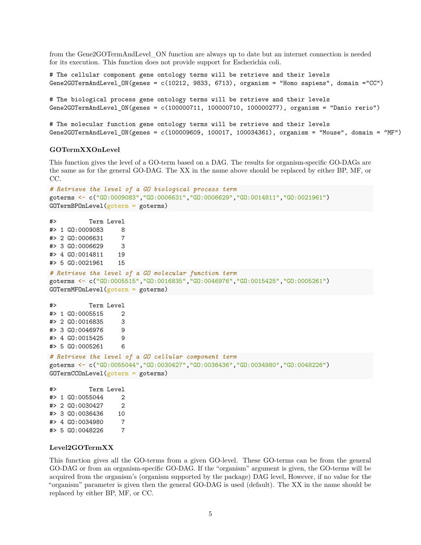from the Gene2GOTermAndLevel\_ON function are always up to date but an internet connection is needed for its execution. This function does not provide support for Escherichia coli.

```
# The cellular component gene ontology terms will be retrieve and their levels
Gene2GOTermAndLevel_ON(genes = c(10212, 9833, 6713), organism = "Homo sapiens", domain ="CC")
# The biological process gene ontology terms will be retrieve and their levels
Gene2GOTermAndLevel_ON(genes = c(100000711, 100000710, 100000277), organism = "Danio rerio")
```

```
# The molecular function gene ontology terms will be retrieve and their levels
Gene2GOTermAndLevel_ON(genes = c(100009609, 100017, 100034361), organism = "Mouse", domain = "MF")
```
#### <span id="page-4-0"></span>**GOTermXXOnLevel**

This function gives the level of a GO-term based on a DAG. The results for organism-specific GO-DAGs are the same as for the general GO-DAG. The XX in the name above should be replaced by either BP, MF, or CC.

```
# Retrieve the level of a GO biological process term
goterms <- c("GO:0009083","GO:0006631","GO:0006629","GO:0014811","GO:0021961")
GOTermBPOnLevel(goterm = goterms)
```

```
#> Term Level
#> 1 GO:0009083 8
#> 2 GO:0006631 7
#> 3 GO:0006629 3
#> 4 GO:0014811 19
#> 5 GO:0021961 15
# Retrieve the level of a GO molecular function term
goterms <- c("GO:0005515","GO:0016835","GO:0046976","GO:0015425","GO:0005261")
GOTermMFOnLevel(goterm = goterms)
#> Term Level
#> 1 GO:0005515 2
#> 2 GO:0016835 3
#> 3 GO:0046976 9
#> 4 GO:0015425 9
#> 5 GO:0005261 6
# Retrieve the level of a GO cellular component term
goterms <- c("GO:0055044","GO:0030427","GO:0036436","GO:0034980","GO:0048226")
GOTermCCOnLevel(goterm = goterms)
#> Term Level
#> 1 GO:0055044 2
#> 2 GO:0030427 2
```
#> 3 GO:0036436 10 #> 4 GO:0034980 7 #> 5 GO:0048226 7

#### <span id="page-4-1"></span>**Level2GOTermXX**

This function gives all the GO-terms from a given GO-level. These GO-terms can be from the general GO-DAG or from an organism-specific GO-DAG. If the "organism" argument is given, the GO-terms will be acquired from the organism's (organism supported by the package) DAG level, However, if no value for the "organism" parameter is given then the general GO-DAG is used (default). The XX in the name should be replaced by either BP, MF, or CC.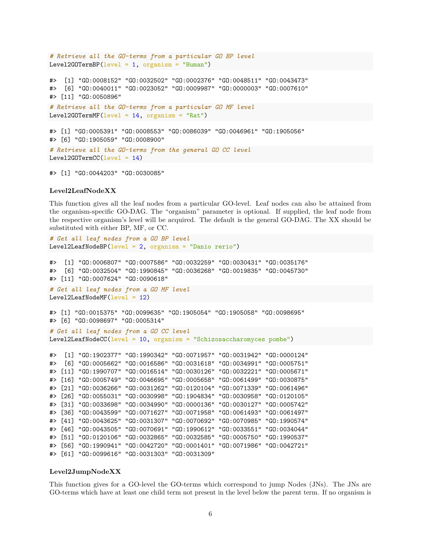```
# Retrieve all the GO-terms from a particular GO BP level
Level2GOTermBP(level = 1, organism = "Human")
#> [1] "GO:0008152" "GO:0032502" "GO:0002376" "GO:0048511" "GO:0043473"
#> [6] "GO:0040011" "GO:0023052" "GO:0009987" "GO:0000003" "GO:0007610"
#> [11] "GO:0050896"
# Retrieve all the GO-terms from a particular GO MF level
Level2GOTermMF(level = 14, organism = "Rat")
#> [1] "GO:0005391" "GO:0008553" "GO:0086039" "GO:0046961" "GO:1905056"
#> [6] "GO:1905059" "GO:0008900"
# Retrieve all the GO-terms from the general GO CC level
Level2G0TermCC(level = 14)
```
#> [1] "GO:0044203" "GO:0030085"

#### <span id="page-5-0"></span>**Level2LeafNodeXX**

This function gives all the leaf nodes from a particular GO-level. Leaf nodes can also be attained from the organism-specific GO-DAG. The "organism" parameter is optional. If supplied, the leaf node from the respective organism's level will be acquired. The default is the general GO-DAG. The XX should be substituted with either BP, MF, or CC.

```
# Get all leaf nodes from a GO BP level
Level2LeafNodeBP(level = 2, organism = "Danio rerio")
#> [1] "GO:0006807" "GO:0007586" "GO:0032259" "GO:0030431" "GO:0035176"
#> [6] "GO:0032504" "GO:1990845" "GO:0036268" "GO:0019835" "GO:0045730"
#> [11] "GO:0007624" "GO:0090618"
# Get all leaf nodes from a GO MF level
Level2LeafNodeMF(level = 12)
#> [1] "GO:0015375" "GO:0099635" "GO:1905054" "GO:1905058" "GO:0098695"
#> [6] "GO:0098697" "GO:0005314"
# Get all leaf nodes from a GO CC level
Level2LeafNodeCC(level = 10, organism = "Schizosaccharomyces pombe")
#> [1] "GO:1902377" "GO:1990342" "GO:0071957" "GO:0031942" "GO:0000124"
#> [6] "GO:0005662" "GO:0016586" "GO:0031618" "GO:0034991" "GO:0005751"
#> [11] "GO:1990707" "GO:0016514" "GO:0030126" "GO:0032221" "GO:0005671"
#> [16] "GO:0005749" "GO:0046695" "GO:0005658" "GO:0061499" "GO:0030875"
#> [21] "GO:0036266" "GO:0031262" "GO:0120104" "GO:0071339" "GO:0061496"
#> [26] "GO:0055031" "GO:0030998" "GO:1904834" "GO:0030958" "GO:0120105"
#> [31] "GO:0033698" "GO:0034990" "GO:0000136" "GO:0030127" "GO:0005742"
#> [36] "GO:0043599" "GO:0071627" "GO:0071958" "GO:0061493" "GO:0061497"
#> [41] "GO:0043625" "GO:0031307" "GO:0070692" "GO:0070985" "GO:1990574"
#> [46] "GO:0043505" "GO:0070691" "GO:1990612" "GO:0033551" "GO:0034044"
#> [51] "GO:0120106" "GO:0032865" "GO:0032585" "GO:0005750" "GO:1990537"
#> [56] "GO:1990941" "GO:0042720" "GO:0001401" "GO:0071986" "GO:0042721"
```
# <span id="page-5-1"></span>**Level2JumpNodeXX**

#> [61] "GO:0099616" "GO:0031303" "GO:0031309"

This function gives for a GO-level the GO-terms which correspond to jump Nodes (JNs). The JNs are GO-terms which have at least one child term not present in the level below the parent term. If no organism is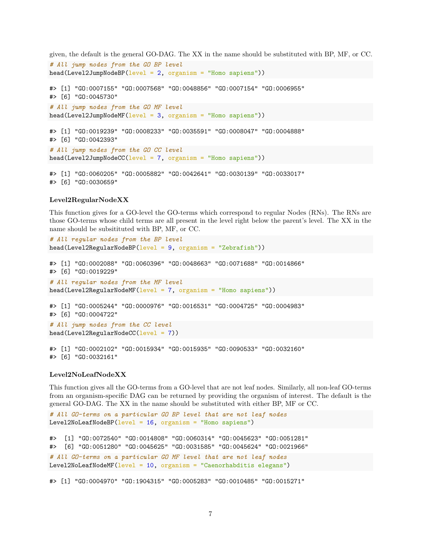given, the default is the general GO-DAG. The XX in the name should be substituted with BP, MF, or CC.

```
# All jump nodes from the GO BP level
head(Level2JumpNodeBP(level = 2, organism = "Home again)#> [1] "GO:0007155" "GO:0007568" "GO:0048856" "GO:0007154" "GO:0006955"
#> [6] "GO:0045730"
# All jump nodes from the GO MF level
head(Level2JumpNodeMF(level = 3, organism = "Home again)#> [1] "GO:0019239" "GO:0008233" "GO:0035591" "GO:0008047" "GO:0004888"
#> [6] "GO:0042393"
# All jump nodes from the GO CC level
head(Level2JumpNodeCC(level = 7, organism = "Home)#> [1] "GO:0060205" "GO:0005882" "GO:0042641" "GO:0030139" "GO:0033017"
#> [6] "GO:0030659"
```
#### <span id="page-6-0"></span>**Level2RegularNodeXX**

This function gives for a GO-level the GO-terms which correspond to regular Nodes (RNs). The RNs are those GO-terms whose child terms are all present in the level right below the parent's level. The XX in the name should be subsitituted with BP, MF, or CC.

```
# All regular nodes from the BP level
head(Level2RegularNodeBP(level = 9, organism = "Zebrafish"))#> [1] "GO:0002088" "GO:0060396" "GO:0048663" "GO:0071688" "GO:0014866"
#> [6] "GO:0019229"
# All regular nodes from the MF level
head(Level2RegularNodeMF(level = 7, organism = "Homes"))#> [1] "GO:0005244" "GO:0000976" "GO:0016531" "GO:0004725" "GO:0004983"
#> [6] "GO:0004722"
# All jump nodes from the CC level
head(Level2RegularNodeCC(level = 7))
```

```
#> [1] "GO:0002102" "GO:0015934" "GO:0015935" "GO:0090533" "GO:0032160"
#> [6] "GO:0032161"
```
### <span id="page-6-1"></span>**Level2NoLeafNodeXX**

This function gives all the GO-terms from a GO-level that are not leaf nodes. Similarly, all non-leaf GO-terms from an organism-specific DAG can be returned by providing the organism of interest. The default is the general GO-DAG. The XX in the name should be substituted with either BP, MF or CC.

```
# All GO-terms on a particular GO BP level that are not leaf nodes
Level2NoLeafNodeBP(level = 16, organism = "Homo sapiens")
#> [1] "GO:0072540" "GO:0014808" "GO:0060314" "GO:0045623" "GO:0051281"
#> [6] "GO:0051280" "GO:0045625" "GO:0031585" "GO:0045624" "GO:0021966"
# All GO-terms on a particular GO MF level that are not leaf nodes
Level2NoLeafNodeMF(level = 10, organism = "Caenorhabditis elegans")
```
#> [1] "GO:0004970" "GO:1904315" "GO:0005283" "GO:0010485" "GO:0015271"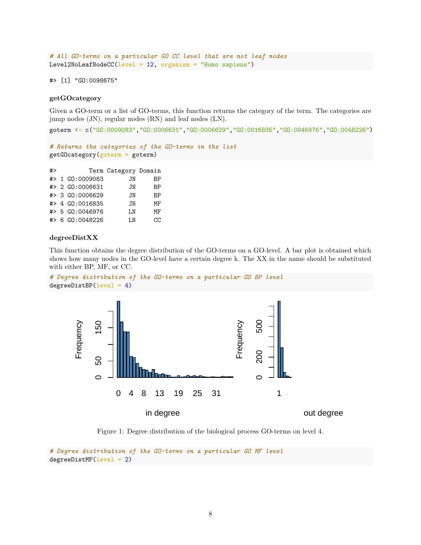```
# All GO-terms on a particular GO CC level that are not leaf nodes
Level2NoLeafNodeCC(level = 12, organism = "Homo sapiens")
```
#> [1] "GO:0098675"

### <span id="page-7-0"></span>**getGOcategory**

Given a GO-term or a list of GO-terms, this function returns the category of the term. The categories are jump nodes (JN), regular nodes (RN) and leaf nodes (LN).

goterm <- c("GO:0009083","GO:0006631","GO:0006629","GO:0016835","GO:0046976","GO:0048226")

```
# Returns the categories of the GO-terms in the list
getGOcategory(goterm = goterm)
```

| #> |                 | Term Category Domain |           |
|----|-----------------|----------------------|-----------|
|    | #> 1 GO:0009083 | JN                   | BP        |
|    | #> 2 GO:0006631 | JN                   | <b>BP</b> |
|    | #> 3 GO:0006629 | JN                   | BP        |
|    | #> 4 GO:0016835 | JN                   | МF        |
|    | #> 5 GO:0046976 | T.N                  | МF        |
|    | #> 6 GO:0048226 | T.N                  | CC.       |

### <span id="page-7-1"></span>**degreeDistXX**

This function obtains the degree distribution of the GO-terms on a GO-level. A bar plot is obtained which shows how many nodes in the GO-level have a certain degree k. The XX in the name should be substituted with either BP, MF, or CC.





<span id="page-7-2"></span>Figure 1: Degree distribution of the biological process GO-terms on level 4.

```
# Degree distribution of the GO-terms on a particular GO MF level
degreeDistMF(level = 2)
```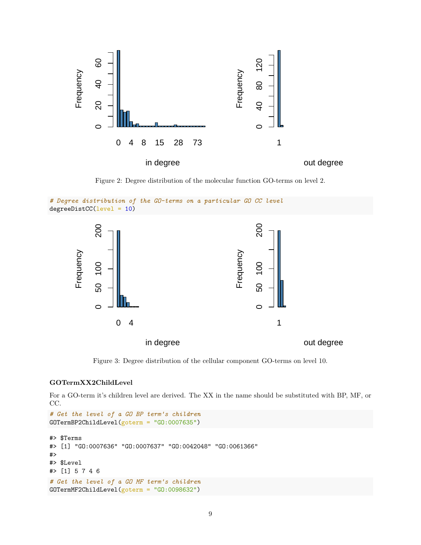

<span id="page-8-1"></span>Figure 2: Degree distribution of the molecular function GO-terms on level 2.





<span id="page-8-2"></span>Figure 3: Degree distribution of the cellular component GO-terms on level 10.

# <span id="page-8-0"></span>**GOTermXX2ChildLevel**

For a GO-term it's children level are derived. The XX in the name should be substituted with BP, MF, or CC.

```
# Get the level of a GO BP term's children
GOTermBP2ChildLevel(goterm = "GO:0007635")
#> $Terms
#> [1] "GO:0007636" "GO:0007637" "GO:0042048" "GO:0061366"
#>
#> $Level
#> [1] 5 7 4 6
# Get the level of a GO MF term's children
GOTermMF2ChildLevel(goterm = "GO:0098632")
```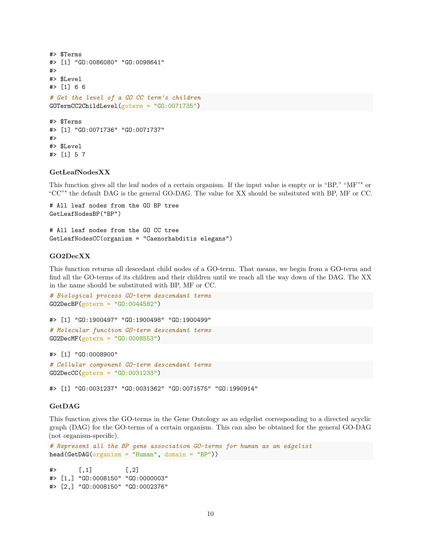```
#> $Terms
#> [1] "GO:0086080" "GO:0098641"
#>
#> $Level
#> [1] 6 6
# Get the level of a GO CC term's children
GOTermCC2ChildLevel(goterm = "GO:0071735")
#> $Terms
#> [1] "GO:0071736" "GO:0071737"
#>
#> $Level
#> [1] 5 7
```
#### <span id="page-9-0"></span>**GetLeafNodesXX**

This function gives all the leaf nodes of a certain organism. If the input value is empty or is "BP," "MF"" or "CC"" the default DAG is the general GO-DAG. The value for XX should be subsituted with BP, MF or CC.

# All leaf nodes from the GO BP tree GetLeafNodesBP("BP")

# All leaf nodes from the GO CC tree GetLeafNodesCC(organism = "Caenorhabditis elegans")

#### <span id="page-9-1"></span>**GO2DecXX**

This function returns all descedant child nodes of a GO-term. That means, we begin from a GO-term and find all the GO-terms of its children and their children until we reach all the way down of the DAG. The XX in the name should be substituted with BP, MF or CC.

```
# Biological process GO-term descendant terms
GO2DecBP(goterm = "GO:0044582")
```

```
#> [1] "GO:1900497" "GO:1900498" "GO:1900499"
# Molecular function GO-term descendant terms
GO2DecMF(goterm = "GO:0008553")
```
#> [1] "GO:0008900"

```
# Cellular component GO-term descendant terms
GO2DecCC(goterm = "GO:0031233")
```
#> [1] "GO:0031237" "GO:0031362" "GO:0071575" "GO:1990914"

#### <span id="page-9-2"></span>**GetDAG**

This function gives the GO-terms in the Gene Ontology as an edgelist corresponding to a directed acyclic graph (DAG) for the GO-terms of a certain organism. This can also be obtained for the general GO-DAG (not organism-specific).

```
# Represent all the BP gene association GO-terms for human as an edgelist
head(GetDAG(organism = "Human", domain = "BP"))
```
 $#$  [,1] [,2] #> [1,] "GO:0008150" "GO:0000003" #> [2,] "GO:0008150" "GO:0002376"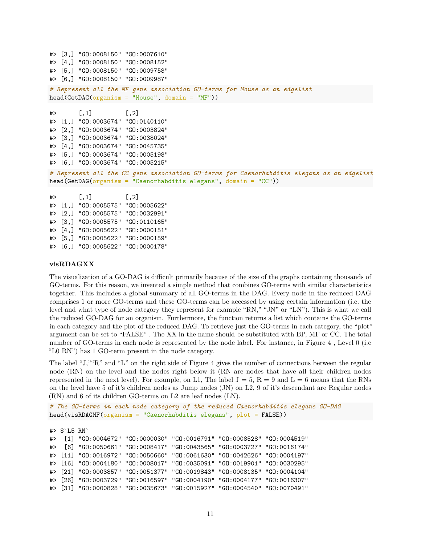```
#> [3,] "GO:0008150" "GO:0007610"
#> [4,] "GO:0008150" "GO:0008152"
#> [5,] "GO:0008150" "GO:0009758"
#> [6,] "GO:0008150" "GO:0009987"
# Represent all the MF gene association GO-terms for Mouse as an edgelist
head(GetDAG(organism = "Mouse", domain = "MF"))
\# [,1] [,2]
#> [1,] "GO:0003674" "GO:0140110"
#> [2,] "GO:0003674" "GO:0003824"
#> [3,] "GO:0003674" "GO:0038024"
#> [4,] "GO:0003674" "GO:0045735"
#> [5,] "GO:0003674" "GO:0005198"
#> [6,] "GO:0003674" "GO:0005215"
# Represent all the CC gene association GO-terms for Caenorhabditis elegans as an edgelist
head(GetDAG(organism = "Caenorhabditis elegans", domain = "CC"))
\# [,1] [,2]
#> [1,] "GO:0005575" "GO:0005622"
#> [2,] "GO:0005575" "GO:0032991"
#> [3,] "GO:0005575" "GO:0110165"
```
#> [4,] "GO:0005622" "GO:0000151"

#> [5,] "GO:0005622" "GO:0000159" #> [6,] "GO:0005622" "GO:0000178"

#### <span id="page-10-0"></span>**visRDAGXX**

The visualization of a GO-DAG is difficult primarily because of the size of the graphs containing thousands of GO-terms. For this reason, we invented a simple method that combines GO-terms with similar characteristics together. This includes a global summary of all GO-terms in the DAG. Every node in the reduced DAG comprises 1 or more GO-terms and these GO-terms can be accessed by using certain information (i.e. the level and what type of node category they represent for example "RN," "JN" or "LN"). This is what we call the reduced GO-DAG for an organism. Furthermore, the function returns a list which contains the GO-terms in each category and the plot of the reduced DAG. To retrieve just the GO-terms in each category, the "plot" argument can be set to "FALSE" . The XX in the name should be substituted with BP, MF or CC. The total number of GO-terms in each node is represented by the node label. For instance, in Figure [4](#page-13-1), Level 0 (i.e. "L0 RN") has 1 GO-term present in the node category.

The label "J,""R" and "L" on the right side of Figure [4](#page-13-1) gives the number of connections between the regular node (RN) on the level and the nodes right below it (RN are nodes that have all their children nodes represented in the next level). For example, on L1, The label  $J = 5$ ,  $R = 9$  and  $L = 6$  means that the RNs on the level have 5 of it's children nodes as Jump nodes (JN) on L2, 9 of it's descendant are Regular nodes (RN) and 6 of its children GO-terms on L2 are leaf nodes (LN).

*# The GO-terms in each node category of the reduced Caenorhabditis elegans GO-DAG* head(visRDAGMF(organism = "Caenorhabditis elegans", plot = FALSE))

#> \$`L5 RN` #> [1] "GO:0004672" "GO:0000030" "GO:0016791" "GO:0008528" "GO:0004519" #> [6] "GO:0050661" "GO:0008417" "GO:0043565" "GO:0003727" "GO:0016174" #> [11] "GO:0016972" "GO:0050660" "GO:0061630" "GO:0042626" "GO:0004197" #> [16] "GO:0004180" "GO:0008017" "GO:0035091" "GO:0019901" "GO:0030295" #> [21] "GO:0003857" "GO:0051377" "GO:0019843" "GO:0008135" "GO:0004104" #> [26] "GO:0003729" "GO:0016597" "GO:0004190" "GO:0004177" "GO:0016307" #> [31] "GO:0000828" "GO:0035673" "GO:0015927" "GO:0004540" "GO:0070491"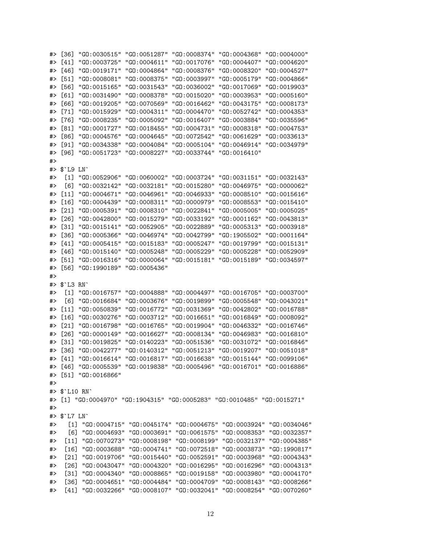#> [41] "GO:0003725" "GO:0004611" "GO:0017076" "GO:0004407" "GO:0004620" #> [46] "GO:0019171" "GO:0004864" "GO:0008376" "GO:0008320" "GO:0004527" #> [51] "GO:0008081" "GO:0008375" "GO:0003997" "GO:0005179" "GO:0004866" #> [56] "GO:0015165" "GO:0031543" "GO:0036002" "GO:0017069" "GO:0019903" #> [61] "GO:0031490" "GO:0008378" "GO:0015020" "GO:0003953" "GO:0005160" #> [66] "GO:0019205" "GO:0070569" "GO:0016462" "GO:0043175" "GO:0008173" #> [71] "GO:0015929" "GO:0004311" "GO:0004470" "GO:0052742" "GO:0004353" #> [76] "GO:0008235" "GO:0005092" "GO:0016407" "GO:0003884" "GO:0035596" #> [81] "GO:0001727" "GO:0018455" "GO:0004731" "GO:0008318" "GO:0004753" #> [86] "GO:0004576" "GO:0004645" "GO:0072542" "GO:0061629" "GO:0033613" #> [91] "GO:0034338" "GO:0004084" "GO:0005104" "GO:0046914" "GO:0034979" #> [96] "GO:0051723" "GO:0008227" "GO:0033744" "GO:0016410" #> #> \$`L9 LN` #> [1] "GO:0052906" "GO:0060002" "GO:0003724" "GO:0031151" "GO:0032143" #> [6] "GO:0032142" "GO:0032181" "GO:0015280" "GO:0046975" "GO:0000062" #> [11] "GO:0004671" "GO:0046961" "GO:0046933" "GO:0008510" "GO:0015616" #> [16] "GO:0004439" "GO:0008311" "GO:0000979" "GO:0008553" "GO:0015410" #> [21] "GO:0005391" "GO:0008310" "GO:0022841" "GO:0005005" "GO:0005025" #> [26] "GO:0042800" "GO:0015279" "GO:0033192" "GO:0001162" "GO:0043813" #> [31] "GO:0015141" "GO:0052905" "GO:0022889" "GO:0005313" "GO:0003918" #> [36] "GO:0005366" "GO:0046974" "GO:0042799" "GO:1905502" "GO:0001164" #> [41] "GO:0005415" "GO:0015183" "GO:0005247" "GO:0019799" "GO:0015131" #> [46] "GO:0015140" "GO:0005248" "GO:0005229" "GO:0005228" "GO:0052909" #> [51] "GO:0016316" "GO:0000064" "GO:0015181" "GO:0015189" "GO:0034597" #> [56] "GO:1990189" "GO:0005436" #> #> \$`L3 RN` #> [1] "GO:0016757" "GO:0004888" "GO:0004497" "GO:0016705" "GO:0003700" #> [6] "GO:0016684" "GO:0003676" "GO:0019899" "GO:0005548" "GO:0043021" #> [11] "GO:0050839" "GO:0016772" "GO:0031369" "GO:0042802" "GO:0016788" #> [16] "GO:0030276" "GO:0003712" "GO:0016651" "GO:0016849" "GO:0008092" #> [21] "GO:0016798" "GO:0016765" "GO:0019904" "GO:0046332" "GO:0016746" #> [26] "GO:0000149" "GO:0016627" "GO:0008134" "GO:0046983" "GO:0016810" #> [31] "GO:0019825" "GO:0140223" "GO:0051536" "GO:0031072" "GO:0016846" #> [36] "GO:0042277" "GO:0140312" "GO:0051213" "GO:0019207" "GO:0051018" #> [41] "GO:0016614" "GO:0016817" "GO:0016638" "GO:0015144" "GO:0099106" #> [46] "GO:0005539" "GO:0019838" "GO:0005496" "GO:0016701" "GO:0016886" #> [51] "GO:0016866" #> #> \$`L10 RN` #> [1] "GO:0004970" "GO:1904315" "GO:0005283" "GO:0010485" "GO:0015271" #> #> \$`L7 LN` #> [1] "GO:0004715" "GO:0045174" "GO:0004675" "GO:0003924" "GO:0034046" #> [6] "GO:0004693" "GO:0003691" "GO:0061575" "GO:0008353" "GO:0032357" #> [11] "GO:0070273" "GO:0008198" "GO:0008199" "GO:0032137" "GO:0004385" #> [16] "GO:0003688" "GO:0004741" "GO:0072518" "GO:0003873" "GO:1990817" #> [21] "GO:0019706" "GO:0015440" "GO:0052591" "GO:0003968" "GO:0004343" #> [26] "GO:0043047" "GO:0004320" "GO:0016295" "GO:0016296" "GO:0004313" #> [31] "GO:0004340" "GO:0008865" "GO:0019158" "GO:0003980" "GO:0004170" #> [36] "GO:0004651" "GO:0004484" "GO:0004709" "GO:0008143" "GO:0008266" #> [41] "GO:0032266" "GO:0008107" "GO:0032041" "GO:0008254" "GO:0070260"

#> [36] "GO:0030515" "GO:0051287" "GO:0008374" "GO:0004368" "GO:0004000"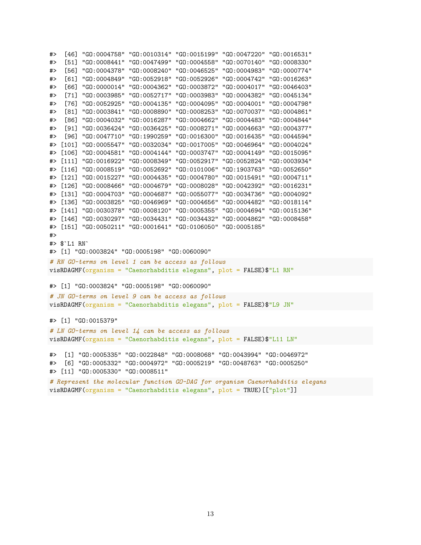```
#> [46] "GO:0004758" "GO:0010314" "GO:0015199" "GO:0047220" "GO:0016531"
#> [51] "GO:0008441" "GO:0047499" "GO:0004558" "GO:0070140" "GO:0008330"
#> [56] "GO:0004378" "GO:0008240" "GO:0046525" "GO:0004983" "GO:0000774"
#> [61] "GO:0004849" "GO:0052918" "GO:0052926" "GO:0004742" "GO:0016263"
#> [66] "GO:0000014" "GO:0004362" "GO:0003872" "GO:0004017" "GO:0046403"
#> [71] "GO:0003985" "GO:0052717" "GO:0003983" "GO:0004382" "GO:0045134"
#> [76] "GO:0052925" "GO:0004135" "GO:0004095" "GO:0004001" "GO:0004798"
#> [81] "GO:0003841" "GO:0008890" "GO:0008253" "GO:0070037" "GO:0004861"
#> [86] "GO:0004032" "GO:0016287" "GO:0004662" "GO:0004483" "GO:0004844"
#> [91] "GO:0036424" "GO:0036425" "GO:0008271" "GO:0004663" "GO:0004377"
#> [96] "GO:0047710" "GO:1990259" "GO:0016300" "GO:0016435" "GO:0044594"
#> [101] "GO:0005547" "GO:0032034" "GO:0017005" "GO:0046964" "GO:0004024"
#> [106] "GO:0004581" "GO:0004144" "GO:0003747" "GO:0004149" "GO:0015095"
#> [111] "GO:0016922" "GO:0008349" "GO:0052917" "GO:0052824" "GO:0003934"
#> [116] "GO:0008519" "GO:0052692" "GO:0101006" "GO:1903763" "GO:0052650"
#> [121] "GO:0015227" "GO:0004435" "GO:0004780" "GO:0015491" "GO:0004711"
#> [126] "GO:0008466" "GO:0004679" "GO:0008028" "GO:0042392" "GO:0016231"
#> [131] "GO:0004703" "GO:0004687" "GO:0055077" "GO:0034736" "GO:0004092"
#> [136] "GO:0003825" "GO:0046969" "GO:0004656" "GO:0004482" "GO:0018114"
#> [141] "GO:0030378" "GO:0008120" "GO:0005355" "GO:0004694" "GO:0015136"
#> [146] "GO:0030297" "GO:0034431" "GO:0034432" "GO:0004862" "GO:0008458"
#> [151] "GO:0050211" "GO:0001641" "GO:0106050" "GO:0005185"
#>
#> $`L1 RN`
#> [1] "GO:0003824" "GO:0005198" "GO:0060090"
# RN GO-terms on level 1 can be access as follows
visRDAGMF(organism = "Caenorhabditis elegans", plot = FALSE)$"L1 RN"
#> [1] "GO:0003824" "GO:0005198" "GO:0060090"
# JN GO-terms on level 9 can be access as follows
visRDAGMF(organism = "Caenorhabditis elegans", plot = FALSE)$"L9 JN"
#> [1] "GO:0015379"
# LN GO-terms on level 14 can be access as follows
visRDAGMF(organism = "Caenorhabditis elegans", plot = FALSE)$"L11 LN"
#> [1] "GO:0005335" "GO:0022848" "GO:0008068" "GO:0043994" "GO:0046972"
#> [6] "GO:0005332" "GO:0004972" "GO:0005219" "GO:0048763" "GO:0005250"
#> [11] "GO:0005330" "GO:0008511"
# Represent the molecular function GO-DAG for organism Caenorhabditis elegans
visRDAGMF(organism = "Caenorhabditis elegans", plot = TRUE)[["plot"]]
```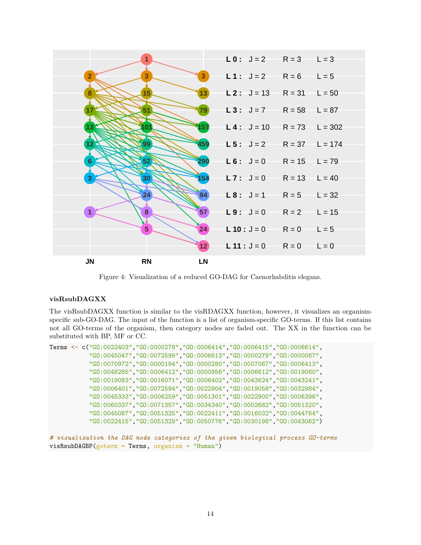

<span id="page-13-1"></span>Figure 4: Visualization of a reduced GO-DAG for Caenorhabditis elegans.

# <span id="page-13-0"></span>**visRsubDAGXX**

The visRsubDAGXX function is similar to the visRDAGXX function, however, it visualizes an organismspecific sub-GO-DAG. The input of the function is a list of organism-specific GO-terms. If this list contains not all GO-terms of the organism, then category nodes are faded out. The XX in the function can be substituted with BP, MF or CC.

```
Terms <- c("GO:0022403","GO:0000278","GO:0006414","GO:0006415","GO:0006614",
           "GO:0045047","GO:0072599","GO:0006613","GO:0000279","GO:0000087",
           "GO:0070972","GO:0000184","GO:0000280","GO:0007067","GO:0006413",
           "GO:0048285","GO:0006412","GO:0000956","GO:0006612","GO:0019080",
           "GO:0019083","GO:0016071","GO:0006402","GO:0043624","GO:0043241",
           "GO:0006401","GO:0072594","GO:0022904","GO:0019058","GO:0032984",
           "GO:0045333","GO:0006259","GO:0051301","GO:0022900","GO:0006396",
           "GO:0060337","GO:0071357","GO:0034340","GO:0002682","GO:0051320",
           "GO:0045087","GO:0051325","GO:0022411","GO:0016032","GO:0044764",
           "GO:0022415","GO:0051329","GO:0050776","GO:0030198","GO:0043062")
```

```
# visualization the DAG node categories of the given biological process GO-terms
visRsubDAGBP(goterm = Terms, organism = "Human")
```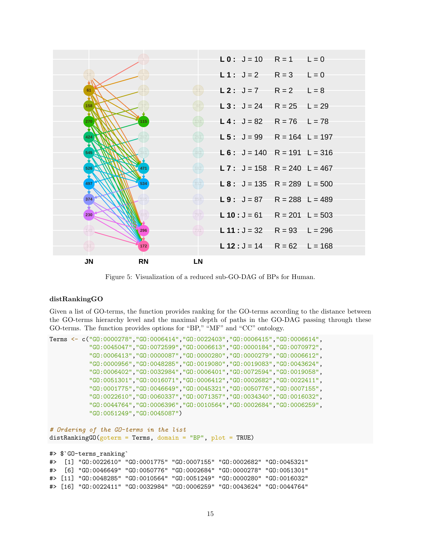

<span id="page-14-1"></span>Figure 5: Visualization of a reduced sub-GO-DAG of BPs for Human.

### <span id="page-14-0"></span>**distRankingGO**

Given a list of GO-terms, the function provides ranking for the GO-terms according to the distance between the GO-terms hierarchy level and the maximal depth of paths in the GO-DAG passing through these GO-terms. The function provides options for "BP," "MF" and "CC" ontology.

```
Terms <- c("GO:0000278","GO:0006414","GO:0022403","GO:0006415","GO:0006614",
           "GO:0045047","GO:0072599","GO:0006613","GO:0000184","GO:0070972",
           "GO:0006413","GO:0000087","GO:0000280","GO:0000279","GO:0006612",
           "GO:0000956","GO:0048285","GO:0019080","GO:0019083","GO:0043624",
           "GO:0006402","GO:0032984","GO:0006401","GO:0072594","GO:0019058",
           "GO:0051301","GO:0016071","GO:0006412","GO:0002682","GO:0022411",
           "GO:0001775","GO:0046649","GO:0045321","GO:0050776","GO:0007155",
           "GO:0022610","GO:0060337","GO:0071357","GO:0034340","GO:0016032",
           "GO:0044764","GO:0006396","GO:0010564","GO:0002684","GO:0006259",
           "GO:0051249","GO:0045087")
# Ordering of the GO-terms in the list
distRankingGO(goterm = Terms, domain = "BP", plot = TRUE)
#> $`GO-terms_ranking`
#> [1] "GO:0022610" "GO:0001775" "GO:0007155" "GO:0002682" "GO:0045321"
#> [6] "GO:0046649" "GO:0050776" "GO:0002684" "GO:0000278" "GO:0051301"
#> [11] "GO:0048285" "GO:0010564" "GO:0051249" "GO:0000280" "GO:0016032"
```
#> [16] "GO:0022411" "GO:0032984" "GO:0006259" "GO:0043624" "GO:0044764"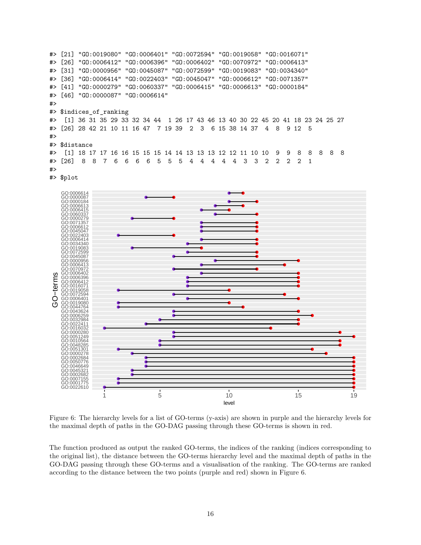```
#> [21] "GO:0019080" "GO:0006401" "GO:0072594" "GO:0019058" "GO:0016071"
#> [26] "GO:0006412" "GO:0006396" "GO:0006402" "GO:0070972" "GO:0006413"
#> [31] "GO:0000956" "GO:0045087" "GO:0072599" "GO:0019083" "GO:0034340"
#> [36] "GO:0006414" "GO:0022403" "GO:0045047" "GO:0006612" "GO:0071357"
#> [41] "GO:0000279" "GO:0060337" "GO:0006415" "GO:0006613" "GO:0000184"
#> [46] "GO:0000087" "GO:0006614"
#>
#> $indices_of_ranking
#> [1] 36 31 35 29 33 32 34 44 1 26 17 43 46 13 40 30 22 45 20 41 18 23 24 25 27
#> [26] 28 42 21 10 11 16 47 7 19 39 2 3 6 15 38 14 37 4 8 9 12 5
#>
#> $distance
#> [1] 18 17 17 16 16 15 15 15 14 14 13 13 13 12 12 11 10 10 9 9 8 8 8 8 8
#> [26] 8 8 7 6 6 6 6 5 5 5 4 4 4 4 4 3 3 2 2 2 2 1
#>
```




<span id="page-15-0"></span>Figure 6: The hierarchy levels for a list of GO-terms (y-axis) are shown in purple and the hierarchy levels for the maximal depth of paths in the GO-DAG passing through these GO-terms is shown in red.

The function produced as output the ranked GO-terms, the indices of the ranking (indices corresponding to the original list), the distance between the GO-terms hierarchy level and the maximal depth of paths in the GO-DAG passing through these GO-terms and a visualisation of the ranking. The GO-terms are ranked according to the distance between the two points (purple and red) shown in Figure [6.](#page-15-0)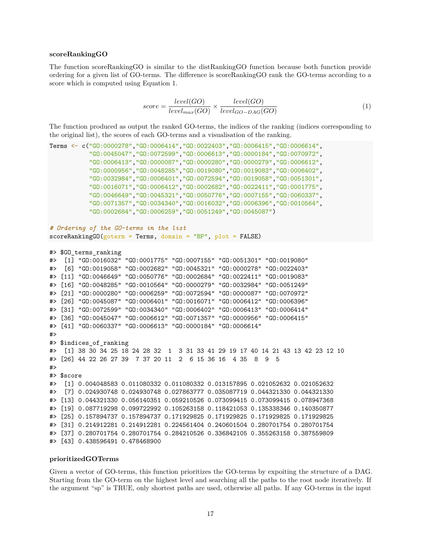#### <span id="page-16-0"></span>**scoreRankingGO**

The function scoreRankingGO is similar to the distRankingGO function because both function provide ordering for a given list of GO-terms. The difference is scoreRankingGO rank the GO-terms according to a score which is computed using Equation [1.](#page-16-2)

<span id="page-16-2"></span>
$$
score = \frac{level(GO)}{level_{max}(GO)} \times \frac{level(GO)}{level_{GO-DAG}(GO)}\tag{1}
$$

The function produced as output the ranked GO-terms, the indices of the ranking (indices corresponding to the original list), the scores of each GO-terms and a visualisation of the ranking.

```
Terms <- c("GO:0000278","GO:0006414","GO:0022403","GO:0006415","GO:0006614",
           "GO:0045047","GO:0072599","GO:0006613","GO:0000184","GO:0070972",
           "GO:0006413","GO:0000087","GO:0000280","GO:0000279","GO:0006612",
           "GO:0000956","GO:0048285","GO:0019080","GO:0019083","GO:0006402",
           "GO:0032984","GO:0006401","GO:0072594","GO:0019058","GO:0051301",
           "GO:0016071","GO:0006412","GO:0002682","GO:0022411","GO:0001775",
           "GO:0046649","GO:0045321","GO:0050776","GO:0007155","GO:0060337",
           "GO:0071357","GO:0034340","GO:0016032","GO:0006396","GO:0010564",
           "GO:0002684","GO:0006259","GO:0051249","GO:0045087")
# Ordering of the GO-terms in the list
scoreRankingGO(goterm = Terms, domain = "BP", plot = FALSE)#> $GO_terms_ranking
#> [1] "GO:0016032" "GO:0001775" "GO:0007155" "GO:0051301" "GO:0019080"
#> [6] "GO:0019058" "GO:0002682" "GO:0045321" "GO:0000278" "GO:0022403"
#> [11] "GO:0046649" "GO:0050776" "GO:0002684" "GO:0022411" "GO:0019083"
#> [16] "GO:0048285" "GO:0010564" "GO:0000279" "GO:0032984" "GO:0051249"
#> [21] "GO:0000280" "GO:0006259" "GO:0072594" "GO:0000087" "GO:0070972"
#> [26] "GO:0045087" "GO:0006401" "GO:0016071" "GO:0006412" "GO:0006396"
#> [31] "GO:0072599" "GO:0034340" "GO:0006402" "GO:0006413" "GO:0006414"
#> [36] "GO:0045047" "GO:0006612" "GO:0071357" "GO:0000956" "GO:0006415"
#> [41] "GO:0060337" "GO:0006613" "GO:0000184" "GO:0006614"
#>
#> $indices_of_ranking
#> [1] 38 30 34 25 18 24 28 32 1 3 31 33 41 29 19 17 40 14 21 43 13 42 23 12 10
#> [26] 44 22 26 27 39 7 37 20 11 2 6 15 36 16 4 35 8 9 5
#>
#> $score
#> [1] 0.004048583 0.011080332 0.011080332 0.013157895 0.021052632 0.021052632
#> [7] 0.024930748 0.024930748 0.027863777 0.035087719 0.044321330 0.044321330
#> [13] 0.044321330 0.056140351 0.059210526 0.073099415 0.073099415 0.078947368
#> [19] 0.087719298 0.099722992 0.105263158 0.118421053 0.135338346 0.140350877
#> [25] 0.157894737 0.157894737 0.171929825 0.171929825 0.171929825 0.171929825
#> [31] 0.214912281 0.214912281 0.224561404 0.240601504 0.280701754 0.280701754
#> [37] 0.280701754 0.280701754 0.284210526 0.336842105 0.355263158 0.387559809
#> [43] 0.438596491 0.478468900
```
#### <span id="page-16-1"></span>**prioritizedGOTerms**

Given a vector of GO-terms, this function prioritizes the GO-terms by expoiting the structure of a DAG. Starting from the GO-term on the highest level and searching all the paths to the root node iteratively. If the argument "sp" is TRUE, only shortest paths are used, otherwise all paths. If any GO-terms in the input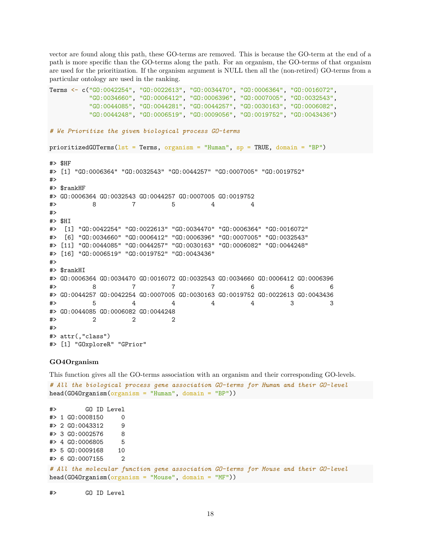vector are found along this path, these GO-terms are removed. This is because the GO-term at the end of a path is more specific than the GO-terms along the path. For an organism, the GO-terms of that organism are used for the prioritization. If the organism argument is NULL then all the (non-retired) GO-terms from a particular ontology are used in the ranking.

```
Terms <- c("GO:0042254", "GO:0022613", "GO:0034470", "GO:0006364", "GO:0016072",
         "GO:0034660", "GO:0006412", "GO:0006396", "GO:0007005", "GO:0032543",
         "GO:0044085", "GO:0044281", "GO:0044257", "GO:0030163", "GO:0006082",
         "GO:0044248", "GO:0006519", "GO:0009056", "GO:0019752", "GO:0043436")
# We Prioritize the given biological process GO-terms
prioritizedGOTerms(1st = Terms, organism = "Human", sp = TRUE, domain = "BP")
#> $HF
#> [1] "GO:0006364" "GO:0032543" "GO:0044257" "GO:0007005" "GO:0019752"
#>
#> $rankHF
#> GO:0006364 GO:0032543 GO:0044257 GO:0007005 GO:0019752
#> 8 7 5 4 4
#>
#> $HI
#> [1] "GO:0042254" "GO:0022613" "GO:0034470" "GO:0006364" "GO:0016072"
#> [6] "GO:0034660" "GO:0006412" "GO:0006396" "GO:0007005" "GO:0032543"
#> [11] "GO:0044085" "GO:0044257" "GO:0030163" "GO:0006082" "GO:0044248"
#> [16] "GO:0006519" "GO:0019752" "GO:0043436"
#>
#> $rankHI
#> GO:0006364 GO:0034470 GO:0016072 GO:0032543 GO:0034660 GO:0006412 GO:0006396
#> 8 7 7 7 6 6 6
#> GO:0044257 GO:0042254 GO:0007005 GO:0030163 GO:0019752 GO:0022613 GO:0043436
#> 5 4 4 4 4 3 3
#> GO:0044085 GO:0006082 GO:0044248
#> 2 2 2
#>
#> attr(,"class")
#> [1] "GOxploreR" "GPrior"
```
#### <span id="page-17-0"></span>**GO4Organism**

This function gives all the GO-terms association with an organism and their corresponding GO-levels.

```
# All the biological process gene association GO-terms for Human and their GO-level
head(G040rganism(organism = "Human", domain = "BP"))
```
#> GO ID Level #> 1 GO:0008150 0 #> 2 GO:0043312 9 #> 3 GO:0002576 8 #> 4 GO:0006805 5 #> 5 GO:0009168 10 #> 6 GO:0007155 2

*# All the molecular function gene association GO-terms for Mouse and their GO-level*  $head(G040rganism(organism = "Mouse", domain = "MF"))$ 

#> GO ID Level